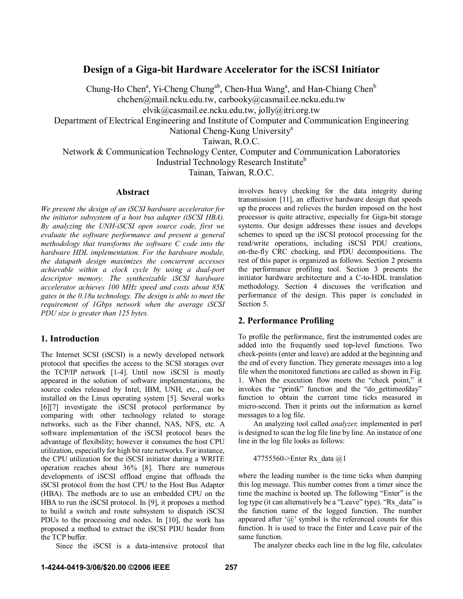# **Design of a Giga-bit Hardware Accelerator for the iSCSI Initiator**

Chung-Ho Chen<sup>a</sup>, Yi-Cheng Chung<sup>ab</sup>, Chen-Hua Wang<sup>a</sup>, and Han-Chiang Chen<sup>b</sup> chchen@mail.ncku.edu.tw, carbooky@casmail.ee.ncku.edu.tw elvik@casmail.ee.ncku.edu.tw, jolly@itri.org.tw

Department of Electrical Engineering and Institute of Computer and Communication Engineering

National Cheng-Kung Universitya

Taiwan, R.O.C.

Network & Communication Technology Center, Computer and Communication Laboratories Industrial Technology Research Institute<sup>b</sup>

Tainan, Taiwan, R.O.C.

## **Abstract**

*We present the design of an iSCSI hardware accelerator for the initiator subsystem of a host bus adapter (iSCSI HBA). By analyzing the UNH-iSCSI open source code, first we evaluate the software performance and present a general methodology that transforms the software C code into the hardware HDL implementation. For the hardware module, the datapath design maximizes the concurrent accesses achievable within a clock cycle by using a dual-port descriptor memory. The synthesizable iSCSI hardware accelerator achieves 100 MHz speed and costs about 85K gates in the 0.18u technology. The design is able to meet the requirement of 1Gbps network when the average iSCSI PDU size is greater than 125 bytes.* 

## **1. Introduction**

The Internet SCSI (iSCSI) is a newly developed network protocol that specifies the access to the SCSI storages over the TCP/IP network [1-4]. Until now iSCSI is mostly appeared in the solution of software implementations, the source codes released by Intel, IBM, UNH, etc., can be installed on the Linux operating system [5]. Several works [6][7] investigate the iSCSI protocol performance by comparing with other technology related to storage networks, such as the Fiber channel, NAS, NFS, etc. A software implementation of the iSCSI protocol bears the advantage of flexibility; however it consumes the host CPU utilization, especially for high bit rate networks. For instance, the CPU utilization for the iSCSI initiator during a WRITE operation reaches about 36% [8]. There are numerous developments of iSCSI offload engine that offloads the iSCSI protocol from the host CPU to the Host Bus Adapter (HBA). The methods are to use an embedded CPU on the HBA to run the iSCSI protocol. In [9], it proposes a method to build a switch and route subsystem to dispatch iSCSI PDUs to the processing end nodes. In [10], the work has proposed a method to extract the iSCSI PDU header from the TCP buffer.

Since the iSCSI is a data-intensive protocol that

involves heavy checking for the data integrity during transmission [11], an effective hardware design that speeds up the process and relieves the burden imposed on the host processor is quite attractive, especially for Giga-bit storage systems. Our design addresses these issues and develops schemes to speed up the iSCSI protocol processing for the read/write operations, including iSCSI PDU creations, on-the-fly CRC checking, and PDU decompositions. The rest of this paper is organized as follows. Section 2 presents the performance profiling tool. Section 3 presents the initiator hardware architecture and a C-to-HDL translation methodology. Section 4 discusses the verification and performance of the design. This paper is concluded in Section 5.

## **2. Performance Profiling**

To profile the performance, first the instrumented codes are added into the frequently used top-level functions. Two check-points (enter and leave) are added at the beginning and the end of every function. They generate messages into a log file when the monitored functions are called as shown in Fig. 1. When the execution flow meets the "check point," it invokes the "printk" function and the "do\_gettimeofday" function to obtain the current time ticks measured in micro-second. Then it prints out the information as kernel messages to a log file.

An analyzing tool called *analyzer,* implemented in perl is designed to scan the log file line by line. An instance of one line in the log file looks as follows:

47755560->Enter Rx\_data @1

where the leading number is the time ticks when dumping this log message. This number comes from a timer since the time the machine is booted up. The following "Enter" is the log type (it can alternatively be a "Leave" type). "Rx\_data" is the function name of the logged function. The number appeared after ' $\omega$ ' symbol is the referenced counts for this function. It is used to trace the Enter and Leave pair of the same function.

The analyzer checks each line in the log file, calculates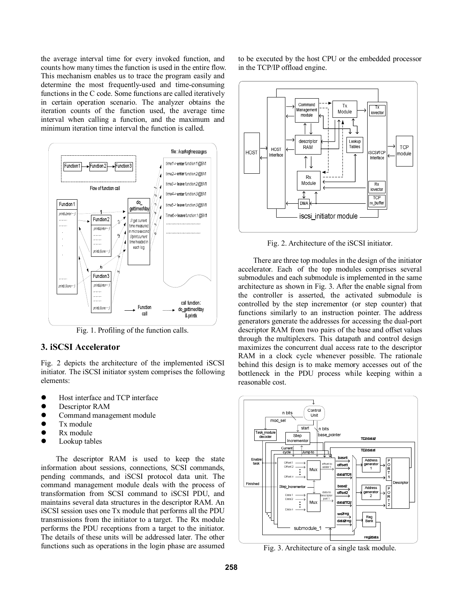the average interval time for every invoked function, and counts how many times the function is used in the entire flow. This mechanism enables us to trace the program easily and determine the most frequently-used and time-consuming functions in the C code. Some functions are called iteratively in certain operation scenario. The analyzer obtains the iteration counts of the function used, the average time interval when calling a function, and the maximum and minimum iteration time interval the function is called.



Fig. 1. Profiling of the function calls.

## **3. iSCSI Accelerator**

Fig. 2 depicts the architecture of the implemented iSCSI initiator. The iSCSI initiator system comprises the following elements:

- Host interface and TCP interface
- Descriptor RAM
- Command management module
- Tx module
- Rx module
- Lookup tables

The descriptor RAM is used to keep the state information about sessions, connections, SCSI commands, pending commands, and iSCSI protocol data unit. The command management module deals with the process of transformation from SCSI command to iSCSI PDU, and maintains several data structures in the descriptor RAM. An iSCSI session uses one Tx module that performs all the PDU transmissions from the initiator to a target. The Rx module performs the PDU receptions from a target to the initiator. The details of these units will be addressed later. The other functions such as operations in the login phase are assumed

to be executed by the host CPU or the embedded processor in the TCP/IP offload engine.



Fig. 2. Architecture of the iSCSI initiator.

There are three top modules in the design of the initiator accelerator. Each of the top modules comprises several submodules and each submodule is implemented in the same architecture as shown in Fig. 3. After the enable signal from the controller is asserted, the activated submodule is controlled by the step incrementor (or step counter) that functions similarly to an instruction pointer. The address generators generate the addresses for accessing the dual-port descriptor RAM from two pairs of the base and offset values through the multiplexers. This datapath and control design maximizes the concurrent dual access rate to the descriptor RAM in a clock cycle whenever possible. The rationale behind this design is to make memory accesses out of the bottleneck in the PDU process while keeping within a reasonable cost.



Fig. 3. Architecture of a single task module.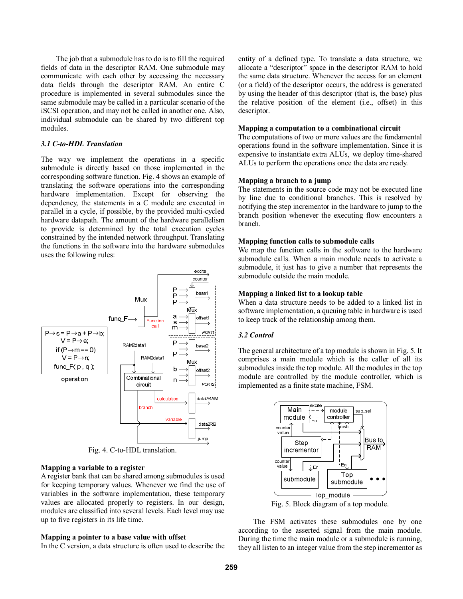The job that a submodule has to do is to fill the required fields of data in the descriptor RAM. One submodule may communicate with each other by accessing the necessary data fields through the descriptor RAM. An entire C procedure is implemented in several submodules since the same submodule may be called in a particular scenario of the iSCSI operation, and may not be called in another one. Also, individual submodule can be shared by two different top modules.

#### *3.1 C-to-HDL Translation*

The way we implement the operations in a specific submodule is directly based on those implemented in the corresponding software function. Fig. 4 shows an example of translating the software operations into the corresponding hardware implementation. Except for observing the dependency, the statements in a C module are executed in parallel in a cycle, if possible, by the provided multi-cycled hardware datapath. The amount of the hardware parallelism to provide is determined by the total execution cycles constrained by the intended network throughput. Translating the functions in the software into the hardware submodules uses the following rules:



Fig. 4. C-to-HDL translation.

#### **Mapping a variable to a register**

A register bank that can be shared among submodules is used for keeping temporary values. Whenever we find the use of variables in the software implementation, these temporary values are allocated properly to registers. In our design, modules are classified into several levels. Each level may use up to five registers in its life time.

#### **Mapping a pointer to a base value with offset**

In the C version, a data structure is often used to describe the

entity of a defined type. To translate a data structure, we allocate a "descriptor" space in the descriptor RAM to hold the same data structure. Whenever the access for an element (or a field) of the descriptor occurs, the address is generated by using the header of this descriptor (that is, the base) plus the relative position of the element (i.e., offset) in this descriptor.

### **Mapping a computation to a combinational circuit**

The computations of two or more values are the fundamental operations found in the software implementation. Since it is expensive to instantiate extra ALUs, we deploy time-shared ALUs to perform the operations once the data are ready.

### **Mapping a branch to a jump**

The statements in the source code may not be executed line by line due to conditional branches. This is resolved by notifying the step incrementor in the hardware to jump to the branch position whenever the executing flow encounters a branch.

#### **Mapping function calls to submodule calls**

We map the function calls in the software to the hardware submodule calls. When a main module needs to activate a submodule, it just has to give a number that represents the submodule outside the main module.

#### **Mapping a linked list to a lookup table**

When a data structure needs to be added to a linked list in software implementation, a queuing table in hardware is used to keep track of the relationship among them.

#### *3.2 Control*

The general architecture of a top module is shown in Fig. 5. It comprises a main module which is the caller of all its submodules inside the top module. All the modules in the top module are controlled by the module controller, which is implemented as a finite state machine, FSM.



Fig. 5. Block diagram of a top module.

The FSM activates these submodules one by one according to the asserted signal from the main module. During the time the main module or a submodule is running, they all listen to an integer value from the step incrementor as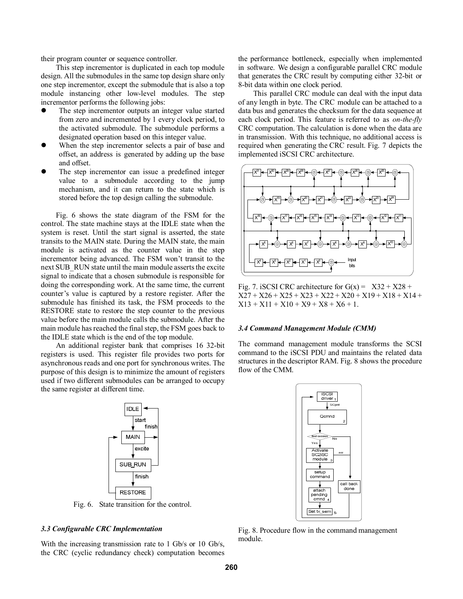their program counter or sequence controller.

This step incrementor is duplicated in each top module design. All the submodules in the same top design share only one step incrementor, except the submodule that is also a top module instancing other low-level modules. The step incrementor performs the following jobs:

- The step incrementor outputs an integer value started from zero and incremented by 1 every clock period, to the activated submodule. The submodule performs a designated operation based on this integer value.
- When the step incrementor selects a pair of base and offset, an address is generated by adding up the base and offset.
- The step incrementor can issue a predefined integer value to a submodule according to the jump mechanism, and it can return to the state which is stored before the top design calling the submodule.

Fig. 6 shows the state diagram of the FSM for the control. The state machine stays at the IDLE state when the system is reset. Until the start signal is asserted, the state transits to the MAIN state. During the MAIN state, the main module is activated as the counter value in the step incrementor being advanced. The FSM won't transit to the next SUB RUN state until the main module asserts the excite signal to indicate that a chosen submodule is responsible for doing the corresponding work. At the same time, the current counter's value is captured by a restore register. After the submodule has finished its task, the FSM proceeds to the RESTORE state to restore the step counter to the previous value before the main module calls the submodule. After the main module has reached the final step, the FSM goes back to the IDLE state which is the end of the top module.

An additional register bank that comprises 16 32-bit registers is used. This register file provides two ports for asynchronous reads and one port for synchronous writes. The purpose of this design is to minimize the amount of registers used if two different submodules can be arranged to occupy the same register at different time.



Fig. 6. State transition for the control.

### *3.3 Configurable CRC Implementation*

With the increasing transmission rate to 1 Gb/s or 10 Gb/s, the CRC (cyclic redundancy check) computation becomes the performance bottleneck, especially when implemented in software. We design a configurable parallel CRC module that generates the CRC result by computing either 32-bit or 8-bit data within one clock period.

This parallel CRC module can deal with the input data of any length in byte. The CRC module can be attached to a data bus and generates the checksum for the data sequence at each clock period. This feature is referred to as *on-the-fly* CRC computation. The calculation is done when the data are in transmission. With this technique, no additional access is required when generating the CRC result. Fig. 7 depicts the implemented iSCSI CRC architecture.



Fig. 7. iSCSI CRC architecture for  $G(x) = X32 + X28 +$  $X27 + X26 + X25 + X23 + X22 + X20 + X19 + X18 + X14 +$  $X13 + X11 + X10 + X9 + X8 + X6 + 1.$ 

### *3.4 Command Management Module (CMM)*

The command management module transforms the SCSI command to the iSCSI PDU and maintains the related data structures in the descriptor RAM. Fig. 8 shows the procedure flow of the CMM.



Fig. 8. Procedure flow in the command management module.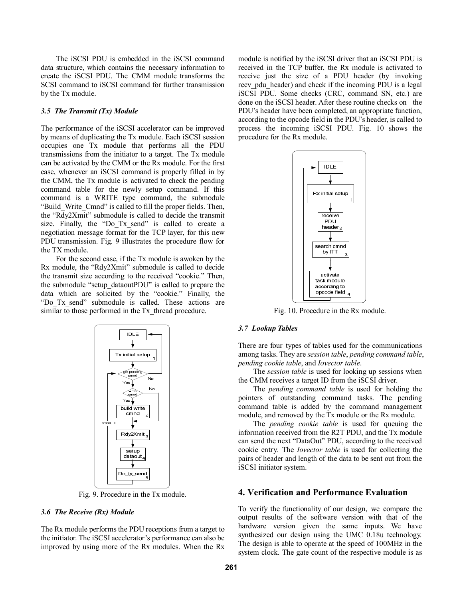The iSCSI PDU is embedded in the iSCSI command data structure, which contains the necessary information to create the iSCSI PDU. The CMM module transforms the SCSI command to iSCSI command for further transmission by the Tx module.

### *3.5 The Transmit (Tx) Module*

The performance of the iSCSI accelerator can be improved by means of duplicating the Tx module. Each iSCSI session occupies one Tx module that performs all the PDU transmissions from the initiator to a target. The Tx module can be activated by the CMM or the Rx module. For the first case, whenever an iSCSI command is properly filled in by the CMM, the Tx module is activated to check the pending command table for the newly setup command. If this command is a WRITE type command, the submodule "Build\_Write\_Cmnd" is called to fill the proper fields. Then, the "Rdy2Xmit" submodule is called to decide the transmit size. Finally, the "Do\_Tx\_send" is called to create a negotiation message format for the TCP layer, for this new PDU transmission. Fig. 9 illustrates the procedure flow for the TX module.

For the second case, if the Tx module is awoken by the Rx module, the "Rdy2Xmit" submodule is called to decide the transmit size according to the received "cookie." Then, the submodule "setup\_dataoutPDU" is called to prepare the data which are solicited by the "cookie." Finally, the "Do\_Tx\_send" submodule is called. These actions are similar to those performed in the Tx\_thread procedure.



Fig. 9. Procedure in the Tx module.

### *3.6 The Receive (Rx) Module*

The Rx module performs the PDU receptions from a target to the initiator. The iSCSI accelerator's performance can also be improved by using more of the Rx modules. When the Rx module is notified by the iSCSI driver that an iSCSI PDU is received in the TCP buffer, the Rx module is activated to receive just the size of a PDU header (by invoking recv pdu header) and check if the incoming PDU is a legal iSCSI PDU. Some checks (CRC, command SN, etc.) are done on the iSCSI header. After these routine checks on the PDU's header have been completed, an appropriate function, according to the opcode field in the PDU's header, is called to process the incoming iSCSI PDU. Fig. 10 shows the procedure for the Rx module.



Fig. 10. Procedure in the Rx module.

### *3.7 Lookup Tables*

There are four types of tables used for the communications among tasks. They are *session table*, *pending command table*, *pending cookie table*, and *Iovector table*.

The *session table* is used for looking up sessions when the CMM receives a target ID from the iSCSI driver.

The *pending command table* is used for holding the pointers of outstanding command tasks. The pending command table is added by the command management module, and removed by the Tx module or the Rx module.

The *pending cookie table* is used for queuing the information received from the R2T PDU, and the Tx module can send the next "DataOut" PDU, according to the received cookie entry. The *Iovector table* is used for collecting the pairs of header and length of the data to be sent out from the iSCSI initiator system.

## **4. Verification and Performance Evaluation**

To verify the functionality of our design, we compare the output results of the software version with that of the hardware version given the same inputs. We have synthesized our design using the UMC 0.18u technology. The design is able to operate at the speed of 100MHz in the system clock. The gate count of the respective module is as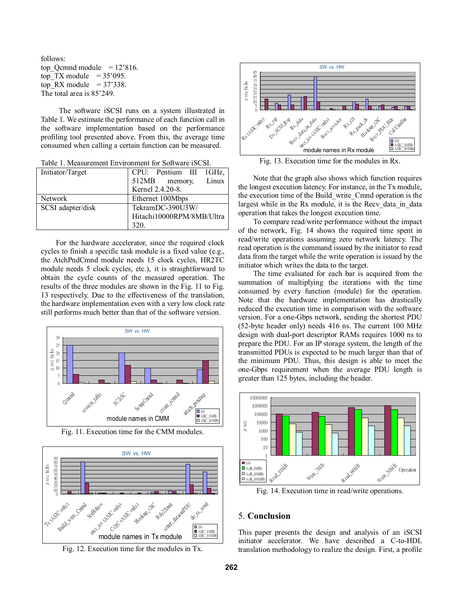follows: top Qcmnd module  $= 12'816$ . top  $TX$  module  $= 35'095$ . top RX module  $= 37'338$ . The total area is 85'249.

The software iSCSI runs on a system illustrated in Table 1. We estimate the performance of each function call in the software implementation based on the performance profiling tool presented above. From this, the average time consumed when calling a certain function can be measured.

Table 1. Measurement Environment for Software iSCSI.

| Initiator/Target  | CPU: Pentium III 1GHz,    |
|-------------------|---------------------------|
|                   | Linux<br>512MB memory,    |
|                   | Kernel 2.4.20-8.          |
| <b>Network</b>    | Ethernet 100Mbps          |
| SCSI adapter/disk | TekramDC-390U3W/          |
|                   | Hitachi10000RPM/8MB/Ultra |
|                   | 320.                      |

For the hardware accelerator, since the required clock cycles to finish a specific task module is a fixed value (e.g., the AtchPndCmnd module needs 15 clock cycles, HR2TC module needs 5 clock cycles, etc.), it is straightforward to obtain the cycle counts of the measured operation. The results of the three modules are shown in the Fig. 11 to Fig. 13 respectively. Due to the effectiveness of the translation, the hardware implementation even with a very low clock rate still performs much better than that of the software version.



Fig. 11. Execution time for the CMM modules.



Fig. 12. Execution time for the modules in Tx.



Fig. 13. Execution time for the modules in Rx.

Note that the graph also shows which function requires the longest execution latency. For instance, in the Tx module, the execution time of the Build\_write\_Cmnd operation is the largest while in the Rx module, it is the Recv data in data operation that takes the longest execution time.

To compare read/write performance without the impact of the network, Fig. 14 shows the required time spent in read/write operations assuming zero network latency. The read operation is the command issued by the initiator to read data from the target while the write operation is issued by the initiator which writes the data to the target.

The time evaluated for each bar is acquired from the summation of multiplying the iterations with the time consumed by every function (module) for the operation. Note that the hardware implementation has drastically reduced the execution time in comparison with the software version. For a one-Gbps network, sending the shortest PDU (52-byte header only) needs 416 ns. The current 100 MHz design with dual-port descriptor RAMs requires 1000 ns to prepare the PDU. For an IP storage system, the length of the transmitted PDUs is expected to be much larger than that of the minimum PDU. Thus, this design is able to meet the one-Gbps requirement when the average PDU length is greater than 125 bytes, including the header.



Fig. 14. Execution time in read/write operations.

## 5. **Conclusion**

This paper presents the design and analysis of an iSCSI initiator accelerator. We have described a C-to-HDL translation methodology to realize the design. First, a profile